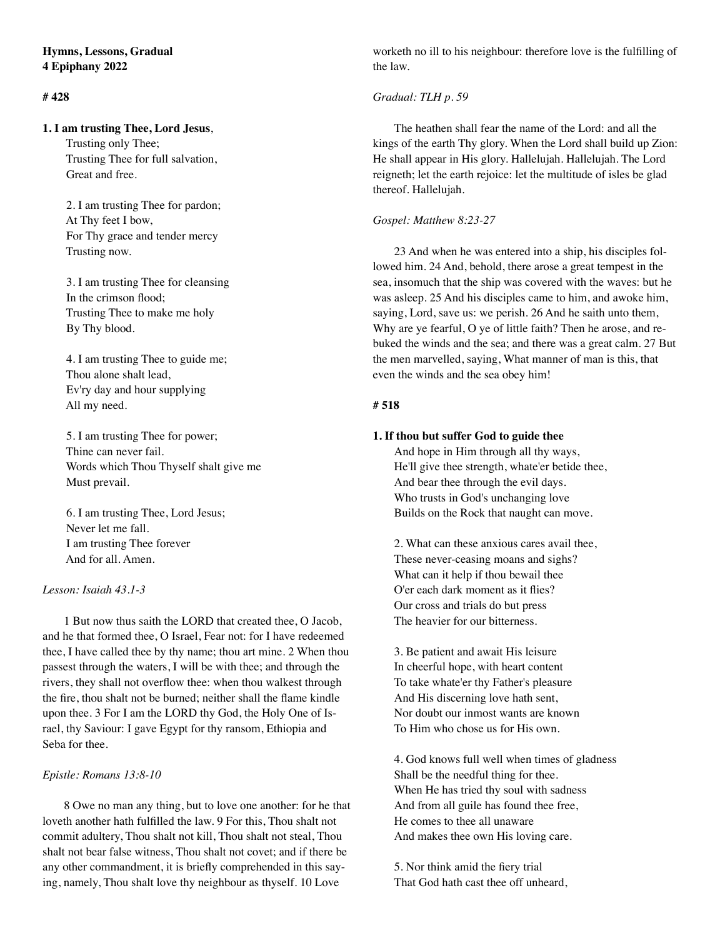# **# 428**

#### **1. I am trusting Thee, Lord Jesus**,

 Trusting only Thee; Trusting Thee for full salvation, Great and free.

 2. I am trusting Thee for pardon; At Thy feet I bow, For Thy grace and tender mercy Trusting now.

 3. I am trusting Thee for cleansing In the crimson flood; Trusting Thee to make me holy By Thy blood.

 4. I am trusting Thee to guide me; Thou alone shalt lead, Ev'ry day and hour supplying All my need.

 5. I am trusting Thee for power; Thine can never fail. Words which Thou Thyself shalt give me Must prevail.

 6. I am trusting Thee, Lord Jesus; Never let me fall. I am trusting Thee forever And for all. Amen.

### *Lesson: Isaiah 43.1-3*

1 But now thus saith the LORD that created thee, O Jacob, and he that formed thee, O Israel, Fear not: for I have redeemed thee, I have called thee by thy name; thou art mine. 2 When thou passest through the waters, I will be with thee; and through the rivers, they shall not overflow thee: when thou walkest through the fire, thou shalt not be burned; neither shall the flame kindle upon thee. 3 For I am the LORD thy God, the Holy One of Israel, thy Saviour: I gave Egypt for thy ransom, Ethiopia and Seba for thee.

### *Epistle: Romans 13:8-10*

8 Owe no man any thing, but to love one another: for he that loveth another hath fulfilled the law. 9 For this, Thou shalt not commit adultery, Thou shalt not kill, Thou shalt not steal, Thou shalt not bear false witness, Thou shalt not covet; and if there be any other commandment, it is briefly comprehended in this saying, namely, Thou shalt love thy neighbour as thyself. 10 Love

worketh no ill to his neighbour: therefore love is the fulfilling of the law.

# *Gradual: TLH p. 59*

The heathen shall fear the name of the Lord: and all the kings of the earth Thy glory. When the Lord shall build up Zion: He shall appear in His glory. Hallelujah. Hallelujah. The Lord reigneth; let the earth rejoice: let the multitude of isles be glad thereof. Hallelujah.

#### *Gospel: Matthew 8:23-27*

23 And when he was entered into a ship, his disciples followed him. 24 And, behold, there arose a great tempest in the sea, insomuch that the ship was covered with the waves: but he was asleep. 25 And his disciples came to him, and awoke him, saying, Lord, save us: we perish. 26 And he saith unto them, Why are ye fearful, O ye of little faith? Then he arose, and rebuked the winds and the sea; and there was a great calm. 27 But the men marvelled, saying, What manner of man is this, that even the winds and the sea obey him!

#### **# 518**

# **1. If thou but suffer God to guide thee**

And hope in Him through all thy ways, He'll give thee strength, whate'er betide thee, And bear thee through the evil days. Who trusts in God's unchanging love Builds on the Rock that naught can move.

2. What can these anxious cares avail thee, These never-ceasing moans and sighs? What can it help if thou bewail thee O'er each dark moment as it flies? Our cross and trials do but press The heavier for our bitterness.

3. Be patient and await His leisure In cheerful hope, with heart content To take whate'er thy Father's pleasure And His discerning love hath sent, Nor doubt our inmost wants are known To Him who chose us for His own.

4. God knows full well when times of gladness Shall be the needful thing for thee. When He has tried thy soul with sadness And from all guile has found thee free, He comes to thee all unaware And makes thee own His loving care.

5. Nor think amid the fiery trial That God hath cast thee off unheard,